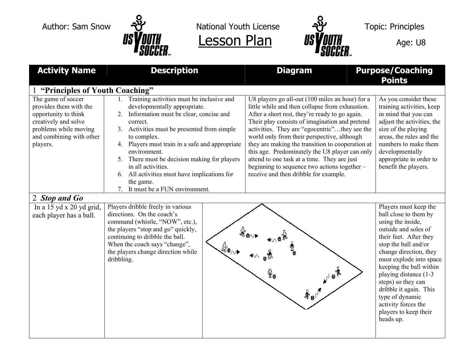

Author: Sam Snow  $\frac{1}{2}$  National Youth License  $\frac{1}{2}$  Topic: Principles

 $\frac{1}{s}$  US  $\frac{1}{s}$   $\frac{1}{s}$   $\frac{1}{s}$   $\frac{1}{s}$   $\frac{1}{s}$   $\frac{1}{s}$   $\frac{1}{s}$   $\frac{1}{s}$   $\frac{1}{s}$   $\frac{1}{s}$   $\frac{1}{s}$   $\frac{1}{s}$   $\frac{1}{s}$   $\frac{1}{s}$   $\frac{1}{s}$   $\frac{1}{s}$   $\frac{1}{s}$   $\frac{1}{s}$   $\frac{1}{s}$   $\frac{1}{s}$   $\frac{1}{s}$ 



| <b>Activity Name</b>                                                                                                                                          | <b>Description</b>                                                                                                                                                                                                                                                                                                                                                                                           | <b>Diagram</b>                                                                                                                                                                                                                                                                                                                                                                                                                                                                                                                                       | <b>Purpose/Coaching</b><br><b>Points</b>                                                                                                                                                                                                                                                                                                                                                |  |  |
|---------------------------------------------------------------------------------------------------------------------------------------------------------------|--------------------------------------------------------------------------------------------------------------------------------------------------------------------------------------------------------------------------------------------------------------------------------------------------------------------------------------------------------------------------------------------------------------|------------------------------------------------------------------------------------------------------------------------------------------------------------------------------------------------------------------------------------------------------------------------------------------------------------------------------------------------------------------------------------------------------------------------------------------------------------------------------------------------------------------------------------------------------|-----------------------------------------------------------------------------------------------------------------------------------------------------------------------------------------------------------------------------------------------------------------------------------------------------------------------------------------------------------------------------------------|--|--|
| "Principles of Youth Coaching"                                                                                                                                |                                                                                                                                                                                                                                                                                                                                                                                                              |                                                                                                                                                                                                                                                                                                                                                                                                                                                                                                                                                      |                                                                                                                                                                                                                                                                                                                                                                                         |  |  |
| The game of soccer<br>provides them with the<br>opportunity to think<br>creatively and solve<br>problems while moving<br>and combining with other<br>players. | 1. Training activities must be inclusive and<br>developmentally appropriate.<br>Information must be clear, concise and<br>2.<br>correct.<br>3. Activities must be presented from simple<br>to complex.<br>4. Players must train in a safe and appropriate<br>environment.<br>5. There must be decision making for players<br>in all activities.<br>6. All activities must have implications for<br>the game. | U8 players go all-out (100 miles an hour) for a<br>little while and then collapse from exhaustion.<br>After a short rest, they're ready to go again.<br>Their play consists of imagination and pretend<br>activities. They are "egocentric"they see the<br>world only from their perspective, although<br>they are making the transition to cooperation at<br>this age. Predominately the U8 player can only<br>attend to one task at a time. They are just<br>beginning to sequence two actions together –<br>receive and then dribble for example. | As you consider these<br>training activities, keep<br>in mind that you can<br>adjust the activities, the<br>size of the playing<br>areas, the rules and the<br>numbers to make them<br>developmentally<br>appropriate in order to<br>benefit the players.                                                                                                                               |  |  |
|                                                                                                                                                               | 7. It must be a FUN environment.                                                                                                                                                                                                                                                                                                                                                                             |                                                                                                                                                                                                                                                                                                                                                                                                                                                                                                                                                      |                                                                                                                                                                                                                                                                                                                                                                                         |  |  |
| 2 Stop and Go                                                                                                                                                 |                                                                                                                                                                                                                                                                                                                                                                                                              |                                                                                                                                                                                                                                                                                                                                                                                                                                                                                                                                                      |                                                                                                                                                                                                                                                                                                                                                                                         |  |  |
| In a 15 yd x 20 yd grid,<br>each player has a ball.                                                                                                           | Players dribble freely in various<br>directions. On the coach's<br>command (whistle, "NOW", etc.),<br>the players "stop and go" quickly,<br>continuing to dribble the ball.<br>When the coach says "change",<br>the players change direction while<br>dribbling.                                                                                                                                             | 30 1 1 1 0 %                                                                                                                                                                                                                                                                                                                                                                                                                                                                                                                                         | Players must keep the<br>ball close to them by<br>using the inside,<br>outside and soles of<br>their feet. After they<br>stop the ball and/or<br>change direction, they<br>must explode into space<br>keeping the ball within<br>playing distance (1-3)<br>steps) so they can<br>dribble it again. This<br>type of dynamic<br>activity forces the<br>players to keep their<br>heads up. |  |  |